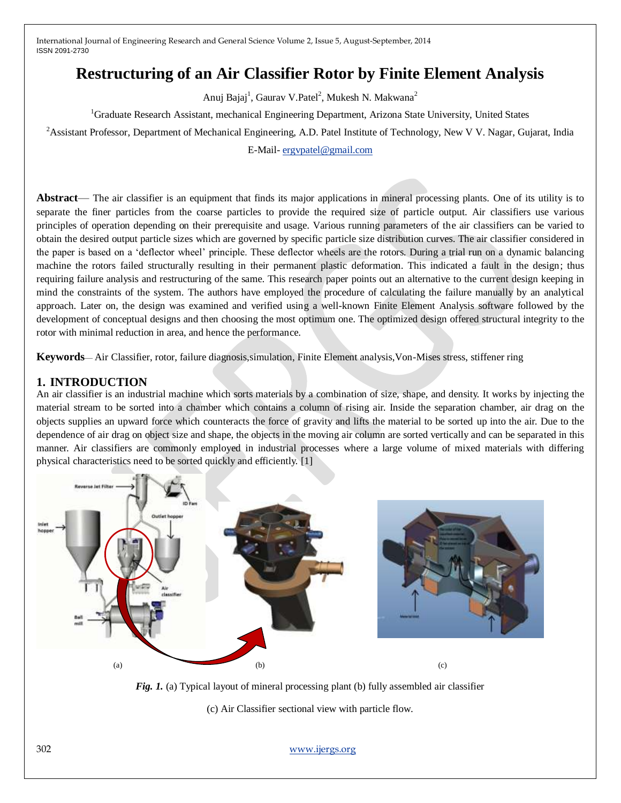# **Restructuring of an Air Classifier Rotor by Finite Element Analysis**

Anuj Bajaj<sup>1</sup>, Gaurav V.Patel<sup>2</sup>, Mukesh N. Makwana<sup>2</sup>

<sup>1</sup>Graduate Research Assistant, mechanical Engineering Department, Arizona State University, United States

<sup>2</sup> Assistant Professor, Department of Mechanical Engineering, A.D. Patel Institute of Technology, New V V. Nagar, Gujarat, India

E-Mail- [ergvpatel@gmail.com](mailto:ergvpatel@gmail.com)

**Abstract**— The air classifier is an equipment that finds its major applications in mineral processing plants. One of its utility is to separate the finer particles from the coarse particles to provide the required size of particle output. Air classifiers use various principles of operation depending on their prerequisite and usage. Various running parameters of the air classifiers can be varied to obtain the desired output particle sizes which are governed by specific particle size distribution curves. The air classifier considered in the paper is based on a 'deflector wheel' principle. These deflector wheels are the rotors. During a trial run on a dynamic balancing machine the rotors failed structurally resulting in their permanent plastic deformation. This indicated a fault in the design; thus requiring failure analysis and restructuring of the same. This research paper points out an alternative to the current design keeping in mind the constraints of the system. The authors have employed the procedure of calculating the failure manually by an analytical approach. Later on, the design was examined and verified using a well-known Finite Element Analysis software followed by the development of conceptual designs and then choosing the most optimum one. The optimized design offered structural integrity to the rotor with minimal reduction in area, and hence the performance.

**Keywords**— Air Classifier, rotor, failure diagnosis,simulation, Finite Element analysis,Von-Mises stress, stiffener ring

### **1. INTRODUCTION**

An air classifier is an industrial machine which sorts materials by a combination of size, shape, and density. It works by injecting the material stream to be sorted into a chamber which contains a column of rising air. Inside the separation chamber, air drag on the objects supplies an upward force which counteracts the force of gravity and lifts the material to be sorted up into the air. Due to the dependence of air drag on object size and shape, the objects in the moving air column are sorted vertically and can be separated in this manner. Air classifiers are commonly employed in industrial processes where a large volume of mixed materials with differing physical characteristics need to be sorted quickly and efficiently. [1]



*Fig. 1.* (a) Typical layout of mineral processing plant (b) fully assembled air classifier

(c) Air Classifier sectional view with particle flow.

302 [www.ijergs.org](http://www.ijergs.org/)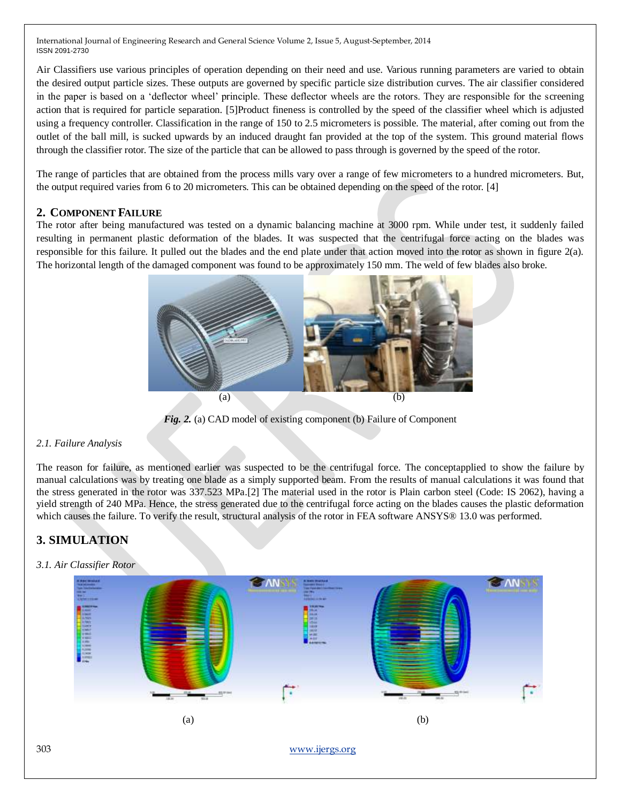Air Classifiers use various principles of operation depending on their need and use. Various running parameters are varied to obtain the desired output particle sizes. These outputs are governed by specific particle size distribution curves. The air classifier considered in the paper is based on a 'deflector wheel' principle. These deflector wheels are the rotors. They are responsible for the screening action that is required for particle separation. [5]Product fineness is controlled by the speed of the classifier wheel which is adjusted using a frequency controller. Classification in the range of 150 to 2.5 micrometers is possible. The material, after coming out from the outlet of the ball mill, is sucked upwards by an induced draught fan provided at the top of the system. This ground material flows through the classifier rotor. The size of the particle that can be allowed to pass through is governed by the speed of the rotor.

The range of particles that are obtained from the process mills vary over a range of few micrometers to a hundred micrometers. But, the output required varies from 6 to 20 micrometers. This can be obtained depending on the speed of the rotor. [4]

# **2. COMPONENT FAILURE**

The rotor after being manufactured was tested on a dynamic balancing machine at 3000 rpm. While under test, it suddenly failed resulting in permanent plastic deformation of the blades. It was suspected that the centrifugal force acting on the blades was responsible for this failure. It pulled out the blades and the end plate under that action moved into the rotor as shown in figure 2(a). The horizontal length of the damaged component was found to be approximately 150 mm. The weld of few blades also broke.



*Fig. 2.* (a) CAD model of existing component (b) Failure of Component

#### *2.1. Failure Analysis*

The reason for failure, as mentioned earlier was suspected to be the centrifugal force. The conceptapplied to show the failure by manual calculations was by treating one blade as a simply supported beam. From the results of manual calculations it was found that the stress generated in the rotor was 337.523 MPa.[2] The material used in the rotor is Plain carbon steel (Code: IS 2062), having a yield strength of 240 MPa. Hence, the stress generated due to the centrifugal force acting on the blades causes the plastic deformation which causes the failure. To verify the result, structural analysis of the rotor in FEA software ANSYS® 13.0 was performed.

# **3. SIMULATION**

# *3.1. Air Classifier Rotor*

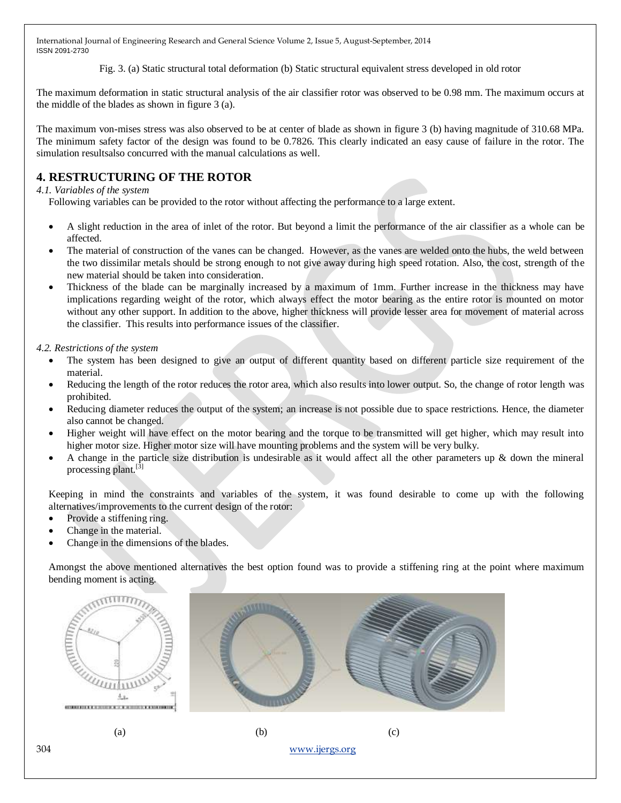Fig. 3. (a) Static structural total deformation (b) Static structural equivalent stress developed in old rotor

The maximum deformation in static structural analysis of the air classifier rotor was observed to be 0.98 mm. The maximum occurs at the middle of the blades as shown in figure 3 (a).

The maximum von-mises stress was also observed to be at center of blade as shown in figure 3 (b) having magnitude of 310.68 MPa. The minimum safety factor of the design was found to be 0.7826. This clearly indicated an easy cause of failure in the rotor. The simulation resultsalso concurred with the manual calculations as well.

# **4. RESTRUCTURING OF THE ROTOR**

#### *4.1. Variables of the system*

Following variables can be provided to the rotor without affecting the performance to a large extent.

- A slight reduction in the area of inlet of the rotor. But beyond a limit the performance of the air classifier as a whole can be affected.
- The material of construction of the vanes can be changed. However, as the vanes are welded onto the hubs, the weld between the two dissimilar metals should be strong enough to not give away during high speed rotation. Also, the cost, strength of the new material should be taken into consideration.
- Thickness of the blade can be marginally increased by a maximum of 1mm. Further increase in the thickness may have implications regarding weight of the rotor, which always effect the motor bearing as the entire rotor is mounted on motor without any other support. In addition to the above, higher thickness will provide lesser area for movement of material across the classifier. This results into performance issues of the classifier.

*4.2. Restrictions of the system*

- The system has been designed to give an output of different quantity based on different particle size requirement of the material.
- Reducing the length of the rotor reduces the rotor area, which also results into lower output. So, the change of rotor length was prohibited.
- Reducing diameter reduces the output of the system; an increase is not possible due to space restrictions. Hence, the diameter also cannot be changed.
- Higher weight will have effect on the motor bearing and the torque to be transmitted will get higher, which may result into higher motor size. Higher motor size will have mounting problems and the system will be very bulky.
- A change in the particle size distribution is undesirable as it would affect all the other parameters up  $\&$  down the mineral processing plant.<sup>[3]</sup>

Keeping in mind the constraints and variables of the system, it was found desirable to come up with the following alternatives/improvements to the current design of the rotor:

- Provide a stiffening ring.
- Change in the material.
- Change in the dimensions of the blades.

Amongst the above mentioned alternatives the best option found was to provide a stiffening ring at the point where maximum bending moment is acting.

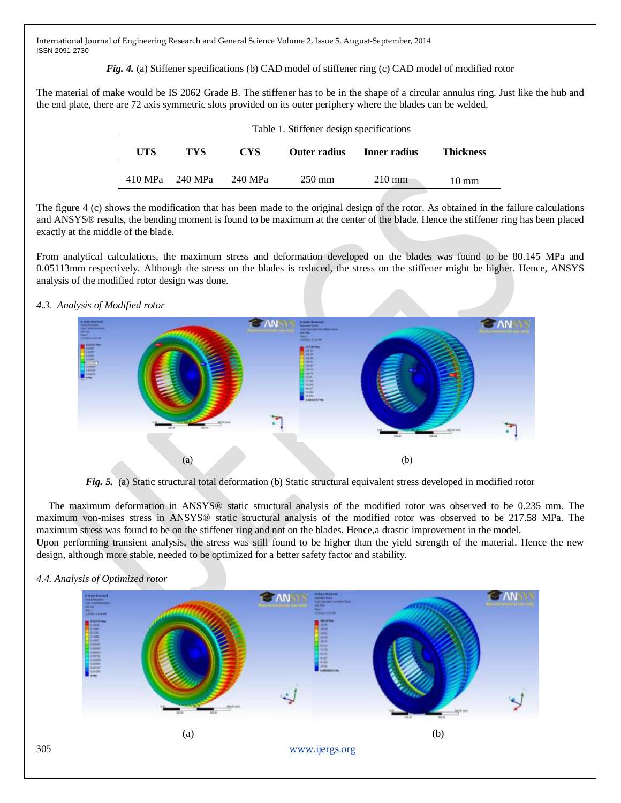*Fig. 4.* (a) Stiffener specifications (b) CAD model of stiffener ring (c) CAD model of modified rotor

The material of make would be IS 2062 Grade B. The stiffener has to be in the shape of a circular annulus ring. Just like the hub and the end plate, there are 72 axis symmetric slots provided on its outer periphery where the blades can be welded.

|     | Table 1. Stiffener design specifications |            |                  |                  |                  |  |
|-----|------------------------------------------|------------|------------------|------------------|------------------|--|
| UTS | TYS                                      | <b>CYS</b> | Outer radius     | Inner radius     | <b>Thickness</b> |  |
|     | 410 MPa 240 MPa                          | -240 MPa   | $250 \text{ mm}$ | $210 \text{ mm}$ | $10 \text{ mm}$  |  |

The figure 4 (c) shows the modification that has been made to the original design of the rotor. As obtained in the failure calculations and ANSYS® results, the bending moment is found to be maximum at the center of the blade. Hence the stiffener ring has been placed exactly at the middle of the blade.

From analytical calculations, the maximum stress and deformation developed on the blades was found to be 80.145 MPa and 0.05113mm respectively. Although the stress on the blades is reduced, the stress on the stiffener might be higher. Hence, ANSYS analysis of the modified rotor design was done.

#### *4.3. Analysis of Modified rotor*



*Fig. 5.* (a) Static structural total deformation (b) Static structural equivalent stress developed in modified rotor

The maximum deformation in ANSYS® static structural analysis of the modified rotor was observed to be 0.235 mm. The maximum von-mises stress in ANSYS® static structural analysis of the modified rotor was observed to be 217.58 MPa. The maximum stress was found to be on the stiffener ring and not on the blades. Hence,a drastic improvement in the model.

Upon performing transient analysis, the stress was still found to be higher than the yield strength of the material. Hence the new design, although more stable, needed to be optimized for a better safety factor and stability.



*4.4. Analysis of Optimized rotor*